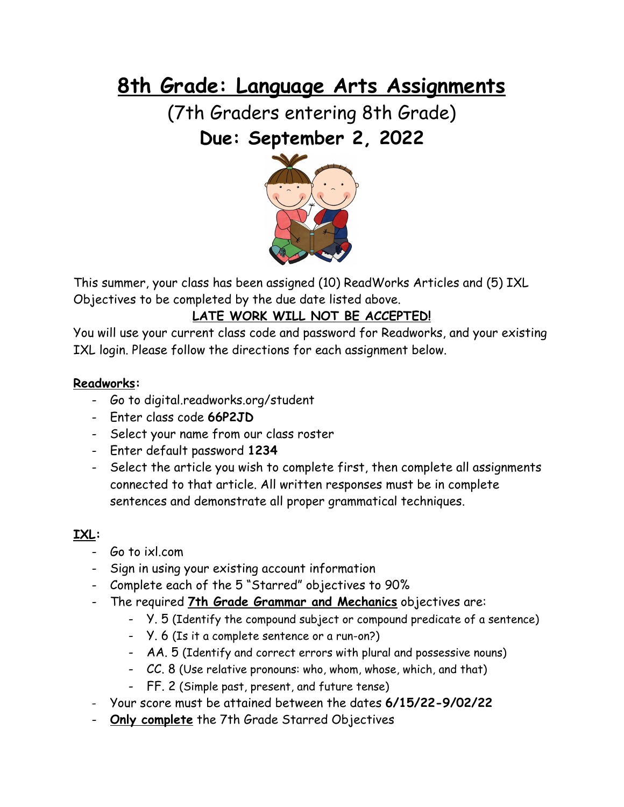# **8th Grade: Language Arts Assignments**

(7th Graders entering 8th Grade) **Due: September 2, 2022**



This summer, your class has been assigned (10) ReadWorks Articles and (5) IXL Objectives to be completed by the due date listed above.

# **LATE WORK WILL NOT BE ACCEPTED!**

You will use your current class code and password for Readworks, and your existing IXL login. Please follow the directions for each assignment below.

## **Readworks:**

- Go to digital.readworks.org/student
- Enter class code **66P2JD**
- Select your name from our class roster
- Enter default password **1234**
- Select the article you wish to complete first, then complete all assignments connected to that article. All written responses must be in complete sentences and demonstrate all proper grammatical techniques.

# **IXL:**

- Go to ixl.com
- Sign in using your existing account information
- Complete each of the 5 "Starred" objectives to 90%
- The required **7th Grade Grammar and Mechanics** objectives are:
	- Y. 5 (Identify the compound subject or compound predicate of a sentence)
	- Y. 6 (Is it a complete sentence or a run-on?)
	- AA. 5 (Identify and correct errors with plural and possessive nouns)
	- CC. 8 (Use relative pronouns: who, whom, whose, which, and that)
	- FF. 2 (Simple past, present, and future tense)
- Your score must be attained between the dates **6/15/22-9/02/22**
- **Only complete** the 7th Grade Starred Objectives